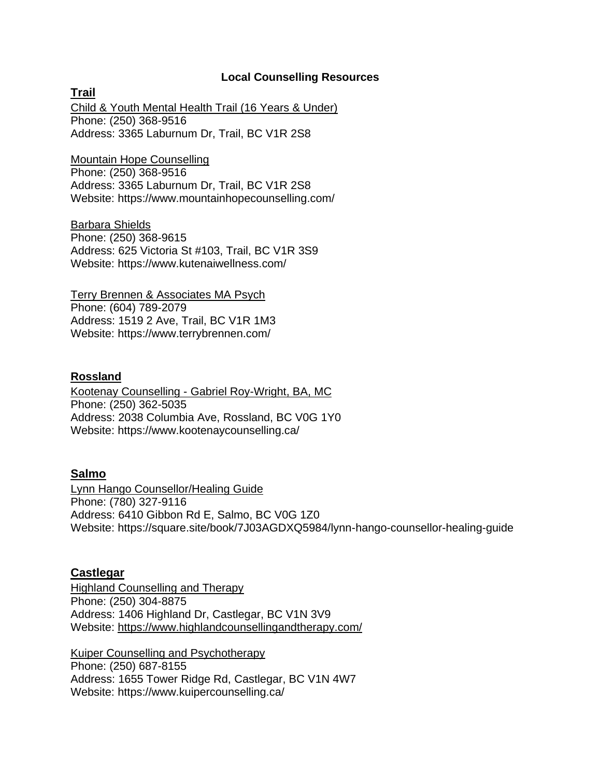#### **Local Counselling Resources**

**Trail** Child & Youth Mental Health Trail (16 Years & Under) Phone: [\(250\) 368-9516](https://www.google.com/search?q=counseling%20near%20me&rlz=1C1CAFB_enCA840CA840&sxsrf=AOaemvK_n_S3oSQCAD9wIla2NEvpEoSfFg:1630000100918&ei=stEnYdzUBunI7gLciITwAw&oq=counseling+near+me&gs_lcp=Cgdnd3Mtd2l6EAMyCwgAEIAEELEDEMkDMgUIABCSAzIFCAAQgAQyBQgAEIAEMgUIABCABDIFCAAQgAQyBQgAEIAEMgUIABCABDIFCAAQgAQyBQgAEIAEOg0ILhDHARDRAxAnEJMCOgQIIxAnOgsILhDHARCvARCRAjoFCAAQkQI6DgguEIAEELEDEMcBEKMCOhEILhCABBCxAxCDARDHARDRAzoLCAAQgAQQsQMQgwE6CggAELEDEIMBEEM6BAgAEEM6BwgAELEDEEM6CAgAEIAEELEDOgoIABCABBCHAhAUSgQIQRgAUKuNIljDoCJg2KEiaABwAngBgAGtAogBxA-SAQc4LjcuMS4xmAEAoAEBwAEB&sclient=gws-wiz&ved=2ahUKEwiXp_7Hn8_yAhXYITQIHW7LCGwQvS4wAHoECBcQGA&uact=5&tbs=lf:1,lf_ui:2&tbm=lcl&rflfq=1&num=10&rldimm=6430632487212024546&lqi=ChJjb3Vuc2VsaW5nIG5lYXIgbWUiA5ABAUjVyoqghLCAgAhaIhAAGAAYARgCIhJjb3Vuc2VsaW5nIG5lYXIgbWUqBAgDEACSAQljb3Vuc2Vsb3KaASNDaFpEU1VoTk1HOW5TMFZKUTBGblNVUlROelJ0V1U5UkVBRaoBEhABKg4iCmNvdW5zZWxpbmcoAA&rlst=f) [Address:](https://www.google.com/search?rlz=1C1CAFB_enCA840CA840&sxsrf=AOaemvK-pTIhXYnKy4I0xsC_ZDd5kRRSXg:1630003571553&q=barbara+shields+trail+address&ludocid=5188861547475905304&sa=X&ved=2ahUKEwi35uW-rM_yAhVQIjQIHVd2DKgQ6BMwBXoECAAQAg) 3365 Laburnum Dr, Trail, BC V1R 2S8

Mountain Hope Counselling Phone: [\(250\) 368-9516](https://www.google.com/search?q=counseling%20near%20me&rlz=1C1CAFB_enCA840CA840&sxsrf=AOaemvK_n_S3oSQCAD9wIla2NEvpEoSfFg:1630000100918&ei=stEnYdzUBunI7gLciITwAw&oq=counseling+near+me&gs_lcp=Cgdnd3Mtd2l6EAMyCwgAEIAEELEDEMkDMgUIABCSAzIFCAAQgAQyBQgAEIAEMgUIABCABDIFCAAQgAQyBQgAEIAEMgUIABCABDIFCAAQgAQyBQgAEIAEOg0ILhDHARDRAxAnEJMCOgQIIxAnOgsILhDHARCvARCRAjoFCAAQkQI6DgguEIAEELEDEMcBEKMCOhEILhCABBCxAxCDARDHARDRAzoLCAAQgAQQsQMQgwE6CggAELEDEIMBEEM6BAgAEEM6BwgAELEDEEM6CAgAEIAEELEDOgoIABCABBCHAhAUSgQIQRgAUKuNIljDoCJg2KEiaABwAngBgAGtAogBxA-SAQc4LjcuMS4xmAEAoAEBwAEB&sclient=gws-wiz&ved=2ahUKEwiXp_7Hn8_yAhXYITQIHW7LCGwQvS4wAHoECBcQGA&uact=5&tbs=lf:1,lf_ui:2&tbm=lcl&rflfq=1&num=10&rldimm=6430632487212024546&lqi=ChJjb3Vuc2VsaW5nIG5lYXIgbWUiA5ABAUjVyoqghLCAgAhaIhAAGAAYARgCIhJjb3Vuc2VsaW5nIG5lYXIgbWUqBAgDEACSAQljb3Vuc2Vsb3KaASNDaFpEU1VoTk1HOW5TMFZKUTBGblNVUlROelJ0V1U5UkVBRaoBEhABKg4iCmNvdW5zZWxpbmcoAA&rlst=f) [Address:](https://www.google.com/search?rlz=1C1CAFB_enCA840CA840&sxsrf=AOaemvK-pTIhXYnKy4I0xsC_ZDd5kRRSXg:1630003571553&q=barbara+shields+trail+address&ludocid=5188861547475905304&sa=X&ved=2ahUKEwi35uW-rM_yAhVQIjQIHVd2DKgQ6BMwBXoECAAQAg) 3365 Laburnum Dr, Trail, BC V1R 2S8 Website:<https://www.mountainhopecounselling.com/>

Barbara Shields [Phone:](https://www.google.com/search?rlz=1C1CAFB_enCA840CA840&sxsrf=AOaemvK-pTIhXYnKy4I0xsC_ZDd5kRRSXg:1630003571553&q=barbara+shields+trail+phone&ludocid=5188861547475905304&sa=X&ved=2ahUKEwi35uW-rM_yAhVQIjQIHVd2DKgQ6BMwCHoECAwQAg) [\(250\) 368-9615](https://www.google.com/search?q=counseling%20near%20me&rlz=1C1CAFB_enCA840CA840&sxsrf=AOaemvK_n_S3oSQCAD9wIla2NEvpEoSfFg:1630000100918&ei=stEnYdzUBunI7gLciITwAw&oq=counseling+near+me&gs_lcp=Cgdnd3Mtd2l6EAMyCwgAEIAEELEDEMkDMgUIABCSAzIFCAAQgAQyBQgAEIAEMgUIABCABDIFCAAQgAQyBQgAEIAEMgUIABCABDIFCAAQgAQyBQgAEIAEOg0ILhDHARDRAxAnEJMCOgQIIxAnOgsILhDHARCvARCRAjoFCAAQkQI6DgguEIAEELEDEMcBEKMCOhEILhCABBCxAxCDARDHARDRAzoLCAAQgAQQsQMQgwE6CggAELEDEIMBEEM6BAgAEEM6BwgAELEDEEM6CAgAEIAEELEDOgoIABCABBCHAhAUSgQIQRgAUKuNIljDoCJg2KEiaABwAngBgAGtAogBxA-SAQc4LjcuMS4xmAEAoAEBwAEB&sclient=gws-wiz&ved=2ahUKEwiXp_7Hn8_yAhXYITQIHW7LCGwQvS4wAHoECBcQGA&uact=5&tbs=lrf:!1m4!1u3!2m2!3m1!1e1!2m1!1e3!3sIAE,lf:1,lf_ui:2&tbm=lcl&rflfq=1&num=10&rldimm=6430632487212024546&lqi=ChJjb3Vuc2VsaW5nIG5lYXIgbWUiA5ABAUjVyoqghLCAgAhaIhAAGAAYARgCIhJjb3Vuc2VsaW5nIG5lYXIgbWUqBAgDEACSAQljb3Vuc2Vsb3KaASNDaFpEU1VoTk1HOW5TMFZKUTBGblNVUlROelJ0V1U5UkVBRaoBEhABKg4iCmNvdW5zZWxpbmcoAA&rlst=f) [Address:](https://www.google.com/search?rlz=1C1CAFB_enCA840CA840&sxsrf=AOaemvK-pTIhXYnKy4I0xsC_ZDd5kRRSXg:1630003571553&q=barbara+shields+trail+address&ludocid=5188861547475905304&sa=X&ved=2ahUKEwi35uW-rM_yAhVQIjQIHVd2DKgQ6BMwBXoECAAQAg) 625 Victoria St #103, Trail, BC V1R 3S9 Website: https://www.kutenaiwellness.com/

Terry Brennen & Associates MA Psych [Phone:](https://www.google.com/search?rlz=1C1CAFB_enCA840CA840&sxsrf=AOaemvLVwJdVwHhwYt0fB50Qx2fSK2EIBw:1630003165999&q=terry+brennen+%26+associates+trail+phone&ludocid=14248203855999756433&sa=X&ved=2ahUKEwjSj639qs_yAhXdIDQIHfCkBo8Q6BMwCHoECAsQAg) [\(604\) 789-2079](https://www.google.com/search?q=counseling%20near%20me&rlz=1C1CAFB_enCA840CA840&sxsrf=AOaemvK_n_S3oSQCAD9wIla2NEvpEoSfFg:1630000100918&ei=stEnYdzUBunI7gLciITwAw&oq=counseling+near+me&gs_lcp=Cgdnd3Mtd2l6EAMyCwgAEIAEELEDEMkDMgUIABCSAzIFCAAQgAQyBQgAEIAEMgUIABCABDIFCAAQgAQyBQgAEIAEMgUIABCABDIFCAAQgAQyBQgAEIAEOg0ILhDHARDRAxAnEJMCOgQIIxAnOgsILhDHARCvARCRAjoFCAAQkQI6DgguEIAEELEDEMcBEKMCOhEILhCABBCxAxCDARDHARDRAzoLCAAQgAQQsQMQgwE6CggAELEDEIMBEEM6BAgAEEM6BwgAELEDEEM6CAgAEIAEELEDOgoIABCABBCHAhAUSgQIQRgAUKuNIljDoCJg2KEiaABwAngBgAGtAogBxA-SAQc4LjcuMS4xmAEAoAEBwAEB&sclient=gws-wiz&ved=2ahUKEwiXp_7Hn8_yAhXYITQIHW7LCGwQvS4wAHoECBcQGA&uact=5&tbs=lrf:!1m4!1u3!2m2!3m1!1e1!2m1!1e3!3sIAE,lf:1,lf_ui:2&tbm=lcl&rflfq=1&num=10&rldimm=6430632487212024546&lqi=ChJjb3Vuc2VsaW5nIG5lYXIgbWUiA5ABAUjVyoqghLCAgAhaIhAAGAAYARgCIhJjb3Vuc2VsaW5nIG5lYXIgbWUqBAgDEACSAQljb3Vuc2Vsb3KaASNDaFpEU1VoTk1HOW5TMFZKUTBGblNVUlROelJ0V1U5UkVBRaoBEhABKg4iCmNvdW5zZWxpbmcoAA&rlst=f) [Address:](https://www.google.com/search?rlz=1C1CAFB_enCA840CA840&sxsrf=AOaemvLVwJdVwHhwYt0fB50Qx2fSK2EIBw:1630003165999&q=terry+brennen+%26+associates+trail+address&ludocid=14248203855999756433&sa=X&ved=2ahUKEwjSj639qs_yAhXdIDQIHfCkBo8Q6BMwBXoECAAQAg) 1519 2 Ave, Trail, BC V1R 1M3 Website: https://www.terrybrennen.com/

#### **Rossland**

Kootenay Counselling - Gabriel Roy-Wright, BA, MC [Phone:](https://www.google.com/search?rlz=1C1CAFB_enCA840CA840&sxsrf=AOaemvLgYLmTesYoaQdsLZgW6xehev6VGA:1630001080331&q=kootenay+counselling+-+gabriel+roy-wright,+ba,+mc+rossland+phone&ludocid=11185943150891283238&sa=X&ved=2ahUKEwjfruuao8_yAhV8ITQIHdqqDaMQ6BMwCHoECA4QAg) [\(250\) 362-5035](https://www.google.com/search?q=counseling%20near%20me&rlz=1C1CAFB_enCA840CA840&sxsrf=AOaemvK_n_S3oSQCAD9wIla2NEvpEoSfFg:1630000100918&ei=stEnYdzUBunI7gLciITwAw&oq=counseling+near+me&gs_lcp=Cgdnd3Mtd2l6EAMyCwgAEIAEELEDEMkDMgUIABCSAzIFCAAQgAQyBQgAEIAEMgUIABCABDIFCAAQgAQyBQgAEIAEMgUIABCABDIFCAAQgAQyBQgAEIAEOg0ILhDHARDRAxAnEJMCOgQIIxAnOgsILhDHARCvARCRAjoFCAAQkQI6DgguEIAEELEDEMcBEKMCOhEILhCABBCxAxCDARDHARDRAzoLCAAQgAQQsQMQgwE6CggAELEDEIMBEEM6BAgAEEM6BwgAELEDEEM6CAgAEIAEELEDOgoIABCABBCHAhAUSgQIQRgAUKuNIljDoCJg2KEiaABwAngBgAGtAogBxA-SAQc4LjcuMS4xmAEAoAEBwAEB&sclient=gws-wiz&ved=2ahUKEwiXp_7Hn8_yAhXYITQIHW7LCGwQvS4wAHoECBcQGA&uact=5&tbs=lrf:!1m4!1u3!2m2!3m1!1e1!2m1!1e3!3sIAE,lf:1,lf_ui:2&tbm=lcl&rflfq=1&num=10&rldimm=6430632487212024546&lqi=ChJjb3Vuc2VsaW5nIG5lYXIgbWUiA5ABAUjVyoqghLCAgAhaIhAAGAAYARgCIhJjb3Vuc2VsaW5nIG5lYXIgbWUqBAgDEACSAQljb3Vuc2Vsb3KaASNDaFpEU1VoTk1HOW5TMFZKUTBGblNVUlROelJ0V1U5UkVBRaoBEhABKg4iCmNvdW5zZWxpbmcoAA&rlst=f) [Address:](https://www.google.com/search?rlz=1C1CAFB_enCA840CA840&sxsrf=AOaemvLgYLmTesYoaQdsLZgW6xehev6VGA:1630001080331&q=kootenay+counselling+-+gabriel+roy-wright,+ba,+mc+rossland+address&ludocid=11185943150891283238&sa=X&ved=2ahUKEwjfruuao8_yAhV8ITQIHdqqDaMQ6BMwBXoECAAQAg) 2038 Columbia Ave, Rossland, BC V0G 1Y0 Website: https://www.kootenaycounselling.ca/

#### **Salmo**

Lynn Hango Counsellor/Healing Guide [Phone:](https://www.google.com/search?rlz=1C1CAFB_enCA840CA840&sxsrf=AOaemvJ2B-4_mLQTpklQehN3F5wmbxALrQ:1630003452590&q=lynn+hango+counsellor/healing+guide+salmo+phone&ludocid=11169232675980306544&sa=X&ved=2ahUKEwiZjISGrM_yAhVDMn0KHQ7SBWwQ6BMwB3oECAwQAg) [\(780\) 327-9116](https://www.google.com/search?q=counseling%20near%20me&rlz=1C1CAFB_enCA840CA840&sxsrf=AOaemvK_n_S3oSQCAD9wIla2NEvpEoSfFg:1630000100918&ei=stEnYdzUBunI7gLciITwAw&oq=counseling+near+me&gs_lcp=Cgdnd3Mtd2l6EAMyCwgAEIAEELEDEMkDMgUIABCSAzIFCAAQgAQyBQgAEIAEMgUIABCABDIFCAAQgAQyBQgAEIAEMgUIABCABDIFCAAQgAQyBQgAEIAEOg0ILhDHARDRAxAnEJMCOgQIIxAnOgsILhDHARCvARCRAjoFCAAQkQI6DgguEIAEELEDEMcBEKMCOhEILhCABBCxAxCDARDHARDRAzoLCAAQgAQQsQMQgwE6CggAELEDEIMBEEM6BAgAEEM6BwgAELEDEEM6CAgAEIAEELEDOgoIABCABBCHAhAUSgQIQRgAUKuNIljDoCJg2KEiaABwAngBgAGtAogBxA-SAQc4LjcuMS4xmAEAoAEBwAEB&sclient=gws-wiz&ved=2ahUKEwiXp_7Hn8_yAhXYITQIHW7LCGwQvS4wAHoECBcQGA&uact=5&tbs=lrf:!1m4!1u3!2m2!3m1!1e1!2m1!1e3!3sIAE,lf:1,lf_ui:2&tbm=lcl&rflfq=1&num=10&rldimm=6430632487212024546&lqi=ChJjb3Vuc2VsaW5nIG5lYXIgbWUiA5ABAUjVyoqghLCAgAhaIhAAGAAYARgCIhJjb3Vuc2VsaW5nIG5lYXIgbWUqBAgDEACSAQljb3Vuc2Vsb3KaASNDaFpEU1VoTk1HOW5TMFZKUTBGblNVUlROelJ0V1U5UkVBRaoBEhABKg4iCmNvdW5zZWxpbmcoAA&rlst=f) [Address:](https://www.google.com/search?rlz=1C1CAFB_enCA840CA840&sxsrf=AOaemvJ2B-4_mLQTpklQehN3F5wmbxALrQ:1630003452590&q=lynn+hango+counsellor/healing+guide+salmo+address&ludocid=11169232675980306544&sa=X&ved=2ahUKEwiZjISGrM_yAhVDMn0KHQ7SBWwQ6BMwBXoECAAQAg) 6410 Gibbon Rd E, Salmo, BC V0G 1Z0 Website: https://square.site/book/7J03AGDXQ5984/lynn-hango-counsellor-healing-guide

#### **Castlegar**

Highland Counselling and Therapy [Phone:](https://www.google.com/search?rlz=1C1CAFB_enCA840CA840&sxsrf=AOaemvICZ6CT35CtSC8U3To00O34nK5N9g:1630000776587&q=highland+counselling+and+therapy+castlegar+phone&ludocid=9854947919007503384&sa=X&ved=2ahUKEwjwvIGKos_yAhVJGTQIHXJ1B58Q6BMwCHoECA4QAg) [\(250\) 304-8875](https://www.google.com/search?q=counseling%20near%20me&rlz=1C1CAFB_enCA840CA840&sxsrf=AOaemvK_n_S3oSQCAD9wIla2NEvpEoSfFg:1630000100918&ei=stEnYdzUBunI7gLciITwAw&oq=counseling+near+me&gs_lcp=Cgdnd3Mtd2l6EAMyCwgAEIAEELEDEMkDMgUIABCSAzIFCAAQgAQyBQgAEIAEMgUIABCABDIFCAAQgAQyBQgAEIAEMgUIABCABDIFCAAQgAQyBQgAEIAEOg0ILhDHARDRAxAnEJMCOgQIIxAnOgsILhDHARCvARCRAjoFCAAQkQI6DgguEIAEELEDEMcBEKMCOhEILhCABBCxAxCDARDHARDRAzoLCAAQgAQQsQMQgwE6CggAELEDEIMBEEM6BAgAEEM6BwgAELEDEEM6CAgAEIAEELEDOgoIABCABBCHAhAUSgQIQRgAUKuNIljDoCJg2KEiaABwAngBgAGtAogBxA-SAQc4LjcuMS4xmAEAoAEBwAEB&sclient=gws-wiz&ved=2ahUKEwiXp_7Hn8_yAhXYITQIHW7LCGwQvS4wAHoECBcQGA&uact=5&tbs=lrf:!1m4!1u3!2m2!3m1!1e1!2m1!1e3!3sIAE,lf:1,lf_ui:2&tbm=lcl&rflfq=1&num=10&rldimm=6430632487212024546&lqi=ChJjb3Vuc2VsaW5nIG5lYXIgbWUiA5ABAUjVyoqghLCAgAhaIhAAGAAYARgCIhJjb3Vuc2VsaW5nIG5lYXIgbWUqBAgDEACSAQljb3Vuc2Vsb3KaASNDaFpEU1VoTk1HOW5TMFZKUTBGblNVUlROelJ0V1U5UkVBRaoBEhABKg4iCmNvdW5zZWxpbmcoAA&rlst=f) [Address:](https://www.google.com/search?rlz=1C1CAFB_enCA840CA840&sxsrf=AOaemvICZ6CT35CtSC8U3To00O34nK5N9g:1630000776587&q=highland+counselling+and+therapy+castlegar+address&ludocid=9854947919007503384&sa=X&ved=2ahUKEwjwvIGKos_yAhVJGTQIHXJ1B58Q6BMwBXoECAAQAg) 1406 Highland Dr, Castlegar, BC V1N 3V9 Website:<https://www.highlandcounsellingandtherapy.com/>

Kuiper Counselling and Psychotherapy [Phone:](https://www.google.com/search?rlz=1C1CAFB_enCA840CA840&sxsrf=AOaemvLm-Q3ydgkq9HzlSXGarG-8uyZv2g:1630001537587&q=kuiper+counselling+and+psychotherapy+castlegar+phone&ludocid=15083495353681470299&sa=X&ved=2ahUKEwjdr_T0pM_yAhUhJDQIHQKoD2UQ6BMwCHoECAwQAg) [\(250\) 687-8155](https://www.google.com/search?q=counseling%20near%20me&rlz=1C1CAFB_enCA840CA840&sxsrf=AOaemvK_n_S3oSQCAD9wIla2NEvpEoSfFg:1630000100918&ei=stEnYdzUBunI7gLciITwAw&oq=counseling+near+me&gs_lcp=Cgdnd3Mtd2l6EAMyCwgAEIAEELEDEMkDMgUIABCSAzIFCAAQgAQyBQgAEIAEMgUIABCABDIFCAAQgAQyBQgAEIAEMgUIABCABDIFCAAQgAQyBQgAEIAEOg0ILhDHARDRAxAnEJMCOgQIIxAnOgsILhDHARCvARCRAjoFCAAQkQI6DgguEIAEELEDEMcBEKMCOhEILhCABBCxAxCDARDHARDRAzoLCAAQgAQQsQMQgwE6CggAELEDEIMBEEM6BAgAEEM6BwgAELEDEEM6CAgAEIAEELEDOgoIABCABBCHAhAUSgQIQRgAUKuNIljDoCJg2KEiaABwAngBgAGtAogBxA-SAQc4LjcuMS4xmAEAoAEBwAEB&sclient=gws-wiz&ved=2ahUKEwiXp_7Hn8_yAhXYITQIHW7LCGwQvS4wAHoECBcQGA&uact=5&tbs=lrf:!1m4!1u3!2m2!3m1!1e1!2m1!1e3!3sIAE,lf:1,lf_ui:2&tbm=lcl&rflfq=1&num=10&rldimm=6430632487212024546&lqi=ChJjb3Vuc2VsaW5nIG5lYXIgbWUiA5ABAUjVyoqghLCAgAhaIhAAGAAYARgCIhJjb3Vuc2VsaW5nIG5lYXIgbWUqBAgDEACSAQljb3Vuc2Vsb3KaASNDaFpEU1VoTk1HOW5TMFZKUTBGblNVUlROelJ0V1U5UkVBRaoBEhABKg4iCmNvdW5zZWxpbmcoAA&rlst=f) Address: 1655 Tower Ridge Rd, Castlegar, BC V1N 4W7 Website:<https://www.kuipercounselling.ca/>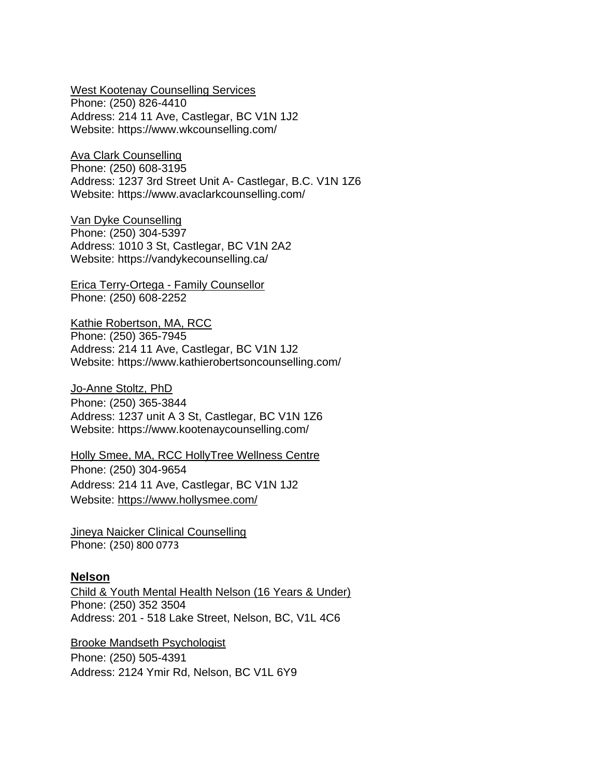West Kootenay Counselling Services

[Phone:](https://www.google.com/search?rlz=1C1CAFB_enCA840CA840&sxsrf=AOaemvJl_g_3u1HKWkOYLuKuePuU5RDivA:1630002829930&q=west+kootenay+counselling+services+castlegar+phone&ludocid=2407198124182774044&sa=X&ved=2ahUKEwiz1ZPdqc_yAhW4CTQIHTH_BPkQ6BMwB3oECA4QAg) [\(250\) 826-4410](https://www.google.com/search?q=counseling%20near%20me&rlz=1C1CAFB_enCA840CA840&sxsrf=AOaemvK_n_S3oSQCAD9wIla2NEvpEoSfFg:1630000100918&ei=stEnYdzUBunI7gLciITwAw&oq=counseling+near+me&gs_lcp=Cgdnd3Mtd2l6EAMyCwgAEIAEELEDEMkDMgUIABCSAzIFCAAQgAQyBQgAEIAEMgUIABCABDIFCAAQgAQyBQgAEIAEMgUIABCABDIFCAAQgAQyBQgAEIAEOg0ILhDHARDRAxAnEJMCOgQIIxAnOgsILhDHARCvARCRAjoFCAAQkQI6DgguEIAEELEDEMcBEKMCOhEILhCABBCxAxCDARDHARDRAzoLCAAQgAQQsQMQgwE6CggAELEDEIMBEEM6BAgAEEM6BwgAELEDEEM6CAgAEIAEELEDOgoIABCABBCHAhAUSgQIQRgAUKuNIljDoCJg2KEiaABwAngBgAGtAogBxA-SAQc4LjcuMS4xmAEAoAEBwAEB&sclient=gws-wiz&ved=2ahUKEwiXp_7Hn8_yAhXYITQIHW7LCGwQvS4wAHoECBcQGA&uact=5&tbs=lrf:!1m4!1u3!2m2!3m1!1e1!2m1!1e3!3sIAE,lf:1,lf_ui:2&tbm=lcl&rflfq=1&num=10&rldimm=6430632487212024546&lqi=ChJjb3Vuc2VsaW5nIG5lYXIgbWUiA5ABAUjVyoqghLCAgAhaIhAAGAAYARgCIhJjb3Vuc2VsaW5nIG5lYXIgbWUqBAgDEACSAQljb3Vuc2Vsb3KaASNDaFpEU1VoTk1HOW5TMFZKUTBGblNVUlROelJ0V1U5UkVBRaoBEhABKg4iCmNvdW5zZWxpbmcoAA&rlst=f) [Address:](https://www.google.com/search?rlz=1C1CAFB_enCA840CA840&sxsrf=AOaemvJl_g_3u1HKWkOYLuKuePuU5RDivA:1630002829930&q=west+kootenay+counselling+services+castlegar+address&ludocid=2407198124182774044&sa=X&ved=2ahUKEwiz1ZPdqc_yAhW4CTQIHTH_BPkQ6BMwBXoECAAQAg) 214 11 Ave, Castlegar, BC V1N 1J2 Website:<https://www.wkcounselling.com/>

Ava Clark Counselling

[Phone:](https://www.google.com/search?rlz=1C1CAFB_enCA840CA840&sxsrf=AOaemvItrl-bDCyhGjFhkXylIupG8MINLQ:1630002887487&q=ava+clark+counselling+phone&ludocid=10784656604833315051&sa=X&ved=2ahUKEwiTpsz4qc_yAhW4FTQIHbK9BlYQ6BMwCHoECBAQAg) [\(250\) 608-3195](https://www.google.com/search?q=counseling%20near%20me&rlz=1C1CAFB_enCA840CA840&sxsrf=AOaemvK_n_S3oSQCAD9wIla2NEvpEoSfFg:1630000100918&ei=stEnYdzUBunI7gLciITwAw&oq=counseling+near+me&gs_lcp=Cgdnd3Mtd2l6EAMyCwgAEIAEELEDEMkDMgUIABCSAzIFCAAQgAQyBQgAEIAEMgUIABCABDIFCAAQgAQyBQgAEIAEMgUIABCABDIFCAAQgAQyBQgAEIAEOg0ILhDHARDRAxAnEJMCOgQIIxAnOgsILhDHARCvARCRAjoFCAAQkQI6DgguEIAEELEDEMcBEKMCOhEILhCABBCxAxCDARDHARDRAzoLCAAQgAQQsQMQgwE6CggAELEDEIMBEEM6BAgAEEM6BwgAELEDEEM6CAgAEIAEELEDOgoIABCABBCHAhAUSgQIQRgAUKuNIljDoCJg2KEiaABwAngBgAGtAogBxA-SAQc4LjcuMS4xmAEAoAEBwAEB&sclient=gws-wiz&ved=2ahUKEwiXp_7Hn8_yAhXYITQIHW7LCGwQvS4wAHoECBcQGA&uact=5&tbs=lrf:!1m4!1u3!2m2!3m1!1e1!2m1!1e3!3sIAE,lf:1,lf_ui:2&tbm=lcl&rflfq=1&num=10&rldimm=6430632487212024546&lqi=ChJjb3Vuc2VsaW5nIG5lYXIgbWUiA5ABAUjVyoqghLCAgAhaIhAAGAAYARgCIhJjb3Vuc2VsaW5nIG5lYXIgbWUqBAgDEACSAQljb3Vuc2Vsb3KaASNDaFpEU1VoTk1HOW5TMFZKUTBGblNVUlROelJ0V1U5UkVBRaoBEhABKg4iCmNvdW5zZWxpbmcoAA&rlst=f) [Address:](https://www.google.com/search?rlz=1C1CAFB_enCA840CA840&sxsrf=AOaemvItrl-bDCyhGjFhkXylIupG8MINLQ:1630002887487&q=ava+clark+counselling+address&ludocid=10784656604833315051&sa=X&ved=2ahUKEwiTpsz4qc_yAhW4FTQIHbK9BlYQ6BMwBXoECAAQAg) 1237 3rd Street Unit A- Castlegar, B.C. V1N 1Z6 Website: <https://www.avaclarkcounselling.com/>

Van Dyke Counselling [Phone:](https://www.google.com/search?rlz=1C1CAFB_enCA840CA840&sxsrf=AOaemvJ2oZcF19z_qXjyaqa-uvLeVkgMqQ:1630002977926&q=van+d%E2%80%8By%E2%80%8Bke%E2%80%8B+counselling+castlegar+phone&ludocid=17736227792256515202&sa=X&ved=2ahUKEwifkNqjqs_yAhXSN30KHRbGAVgQ6BMwB3oECAQQAg) [\(250\) 304-5397](https://www.google.com/search?q=counseling%20near%20me&rlz=1C1CAFB_enCA840CA840&sxsrf=AOaemvK_n_S3oSQCAD9wIla2NEvpEoSfFg:1630000100918&ei=stEnYdzUBunI7gLciITwAw&oq=counseling+near+me&gs_lcp=Cgdnd3Mtd2l6EAMyCwgAEIAEELEDEMkDMgUIABCSAzIFCAAQgAQyBQgAEIAEMgUIABCABDIFCAAQgAQyBQgAEIAEMgUIABCABDIFCAAQgAQyBQgAEIAEOg0ILhDHARDRAxAnEJMCOgQIIxAnOgsILhDHARCvARCRAjoFCAAQkQI6DgguEIAEELEDEMcBEKMCOhEILhCABBCxAxCDARDHARDRAzoLCAAQgAQQsQMQgwE6CggAELEDEIMBEEM6BAgAEEM6BwgAELEDEEM6CAgAEIAEELEDOgoIABCABBCHAhAUSgQIQRgAUKuNIljDoCJg2KEiaABwAngBgAGtAogBxA-SAQc4LjcuMS4xmAEAoAEBwAEB&sclient=gws-wiz&ved=2ahUKEwiXp_7Hn8_yAhXYITQIHW7LCGwQvS4wAHoECBcQGA&uact=5&tbs=lrf:!1m4!1u3!2m2!3m1!1e1!2m1!1e3!3sIAE,lf:1,lf_ui:2&tbm=lcl&rflfq=1&num=10&rldimm=6430632487212024546&lqi=ChJjb3Vuc2VsaW5nIG5lYXIgbWUiA5ABAUjVyoqghLCAgAhaIhAAGAAYARgCIhJjb3Vuc2VsaW5nIG5lYXIgbWUqBAgDEACSAQljb3Vuc2Vsb3KaASNDaFpEU1VoTk1HOW5TMFZKUTBGblNVUlROelJ0V1U5UkVBRaoBEhABKg4iCmNvdW5zZWxpbmcoAA&rlst=f) [Address:](https://www.google.com/search?rlz=1C1CAFB_enCA840CA840&sxsrf=AOaemvJ2oZcF19z_qXjyaqa-uvLeVkgMqQ:1630002977926&q=van+d%E2%80%8By%E2%80%8Bke%E2%80%8B+counselling+castlegar+address&ludocid=17736227792256515202&sa=X&ved=2ahUKEwifkNqjqs_yAhXSN30KHRbGAVgQ6BMwBXoECAAQAg) 1010 3 St, Castlegar, BC V1N 2A2 Website: <https://vandykecounselling.ca/>

Erica Terry-Ortega - Family Counsellor Phone: (250) 608-2252

[Kathie Robertson, MA, RCC](https://www.kathierobertsoncounselling.com/) [Phone:](https://www.google.com/search?rlz=1C1CAFB_enCA840CA840&sxsrf=AOaemvKyGbd00GeTTtuk3FRui6nFav4kxQ:1630003012604&q=kathie+robertson+castlegar+phone&ludocid=16453298916133545377&sa=X&ved=2ahUKEwjzj520qs_yAhXSIjQIHcX-BIwQ6BMwCHoECAwQAg) [\(250\) 365-7945](https://www.google.com/search?q=counseling%20near%20me&rlz=1C1CAFB_enCA840CA840&sxsrf=AOaemvK_n_S3oSQCAD9wIla2NEvpEoSfFg:1630000100918&ei=stEnYdzUBunI7gLciITwAw&oq=counseling+near+me&gs_lcp=Cgdnd3Mtd2l6EAMyCwgAEIAEELEDEMkDMgUIABCSAzIFCAAQgAQyBQgAEIAEMgUIABCABDIFCAAQgAQyBQgAEIAEMgUIABCABDIFCAAQgAQyBQgAEIAEOg0ILhDHARDRAxAnEJMCOgQIIxAnOgsILhDHARCvARCRAjoFCAAQkQI6DgguEIAEELEDEMcBEKMCOhEILhCABBCxAxCDARDHARDRAzoLCAAQgAQQsQMQgwE6CggAELEDEIMBEEM6BAgAEEM6BwgAELEDEEM6CAgAEIAEELEDOgoIABCABBCHAhAUSgQIQRgAUKuNIljDoCJg2KEiaABwAngBgAGtAogBxA-SAQc4LjcuMS4xmAEAoAEBwAEB&sclient=gws-wiz&ved=2ahUKEwiXp_7Hn8_yAhXYITQIHW7LCGwQvS4wAHoECBcQGA&uact=5&tbs=lrf:!1m4!1u3!2m2!3m1!1e1!2m1!1e3!3sIAE,lf:1,lf_ui:2&tbm=lcl&rflfq=1&num=10&rldimm=6430632487212024546&lqi=ChJjb3Vuc2VsaW5nIG5lYXIgbWUiA5ABAUjVyoqghLCAgAhaIhAAGAAYARgCIhJjb3Vuc2VsaW5nIG5lYXIgbWUqBAgDEACSAQljb3Vuc2Vsb3KaASNDaFpEU1VoTk1HOW5TMFZKUTBGblNVUlROelJ0V1U5UkVBRaoBEhABKg4iCmNvdW5zZWxpbmcoAA&rlst=f) [Address:](https://www.google.com/search?rlz=1C1CAFB_enCA840CA840&sxsrf=AOaemvKyGbd00GeTTtuk3FRui6nFav4kxQ:1630003012604&q=kathie+robertson+castlegar+address&ludocid=16453298916133545377&sa=X&ved=2ahUKEwjzj520qs_yAhXSIjQIHcX-BIwQ6BMwBXoECAAQAg) 214 11 Ave, Castlegar, BC V1N 1J2 Website: https://www.kathierobertsoncounselling.com/

Jo-Anne Stoltz, [PhD](https://www.kootenaycounselling.com/) [Phone:](https://www.google.com/search?rlz=1C1CAFB_enCA840CA840&sxsrf=AOaemvKHfZ4fLGf9Ud-jVQhO5RPxq-wwKA:1630003063759&q=jo-anne+stoltz+castlegar+phone&ludocid=11087035586446537438&sa=X&ved=2ahUKEwjYzs_Mqs_yAhUTKH0KHW8zCP8Q6BMwB3oECAUQAg) [\(250\) 365-3844](https://www.google.com/search?q=counseling%20near%20me&rlz=1C1CAFB_enCA840CA840&sxsrf=AOaemvK_n_S3oSQCAD9wIla2NEvpEoSfFg:1630000100918&ei=stEnYdzUBunI7gLciITwAw&oq=counseling+near+me&gs_lcp=Cgdnd3Mtd2l6EAMyCwgAEIAEELEDEMkDMgUIABCSAzIFCAAQgAQyBQgAEIAEMgUIABCABDIFCAAQgAQyBQgAEIAEMgUIABCABDIFCAAQgAQyBQgAEIAEOg0ILhDHARDRAxAnEJMCOgQIIxAnOgsILhDHARCvARCRAjoFCAAQkQI6DgguEIAEELEDEMcBEKMCOhEILhCABBCxAxCDARDHARDRAzoLCAAQgAQQsQMQgwE6CggAELEDEIMBEEM6BAgAEEM6BwgAELEDEEM6CAgAEIAEELEDOgoIABCABBCHAhAUSgQIQRgAUKuNIljDoCJg2KEiaABwAngBgAGtAogBxA-SAQc4LjcuMS4xmAEAoAEBwAEB&sclient=gws-wiz&ved=2ahUKEwiXp_7Hn8_yAhXYITQIHW7LCGwQvS4wAHoECBcQGA&uact=5&tbs=lrf:!1m4!1u3!2m2!3m1!1e1!2m1!1e3!3sIAE,lf:1,lf_ui:2&tbm=lcl&rflfq=1&num=10&rldimm=6430632487212024546&lqi=ChJjb3Vuc2VsaW5nIG5lYXIgbWUiA5ABAUjVyoqghLCAgAhaIhAAGAAYARgCIhJjb3Vuc2VsaW5nIG5lYXIgbWUqBAgDEACSAQljb3Vuc2Vsb3KaASNDaFpEU1VoTk1HOW5TMFZKUTBGblNVUlROelJ0V1U5UkVBRaoBEhABKg4iCmNvdW5zZWxpbmcoAA&rlst=f) [Address:](https://www.google.com/search?rlz=1C1CAFB_enCA840CA840&sxsrf=AOaemvKHfZ4fLGf9Ud-jVQhO5RPxq-wwKA:1630003063759&q=jo-anne+stoltz+castlegar+address&ludocid=11087035586446537438&sa=X&ved=2ahUKEwjYzs_Mqs_yAhUTKH0KHW8zCP8Q6BMwBXoECAAQAg) 1237 unit A 3 St, Castlegar, BC V1N 1Z6 Website:<https://www.kootenaycounselling.com/>

Holly Smee, MA, RCC HollyTree Wellness Centre [Phone:](https://www.google.com/search?rlz=1C1CAFB_enCA840CA840&sxsrf=AOaemvJrkkSuQAPD9WfPilhECY1Qp-R3hA:1630450772502&q=hollytree+wellness+phone&ludocid=2227182833286804400&sa=X&ved=2ahUKEwiD7fi4rtzyAhVhIjQIHUw8CDMQ6BMwHHoECDEQAg) [\(250\) 304-9654](https://www.google.com/search?q=holly+smee&rlz=1C1CAFB_enCA840CA840&sxsrf=AOaemvLnHdgDiV4i-bqBRbgkZM0Xt46IYA%3A1630450659463&ei=47MuYbrDG7Hi7_UP2_KL-A8&oq=holly+smee&gs_lcp=Cgdnd3Mtd2l6EAMyDgguEIAEEMcBEK8BEJMCMgYIABAWEB4yBggAEBYQHjoECCMQJzoFCAAQkQI6BAguEEM6CwgAEIAEELEDEIMBOg4ILhCABBCxAxDHARCjAjoOCC4QgAQQsQMQxwEQ0QM6CAgAELEDEIMBOgQIABBDOgoILhDHARCvARBDOgsILhDHARCvARCRAjoFCAAQgAQ6CAguEIAEELEDOggIABCABBCxAzoHCC4QQxCTAjoHCC4QsQMQQzoLCC4QgAQQxwEQrwE6DQguELEDEIMBEEMQkwI6BQguEIAEOgsILhCABBCxAxCDAToLCC4QgAQQsQMQkwI6DgguEIAEELEDEIMBEJMCOggIABAWEAoQHjoKCC4QsQMQDRCTAjoECAAQDToHCAAQyQMQDToECC4QDToKCC4QxwEQrwEQDToHCAAQsQMQCjoKCC4QxwEQrwEQCjoECAAQCjoHCAAQgAQQCkoECEEYAFCnzARY3OcEYKvpBGgEcAB4AIABnwGIAZgLkgEDOS41mAEAoAEBwAEB&sclient=gws-wiz&ved=0ahUKEwj6wIWDrtzyAhUx8bsIHVv5Av8Q4dUDCA8&uact=5) [Address:](https://www.google.com/search?rlz=1C1CAFB_enCA840CA840&sxsrf=AOaemvJrkkSuQAPD9WfPilhECY1Qp-R3hA:1630450772502&q=hollytree+wellness+address&ludocid=2227182833286804400&sa=X&ved=2ahUKEwiD7fi4rtzyAhVhIjQIHUw8CDMQ6BMwGnoECCgQAg) 214 11 Ave, Castlegar, BC V1N 1J2 Website:<https://www.hollysmee.com/>

[Jineya Naicker Clinical Counselling](https://www.jineyanaickercounselling.com/) [Phone:](https://www.google.com/search?rlz=1C1CAFB_enCA840CA840&sxsrf=AOaemvJrkkSuQAPD9WfPilhECY1Qp-R3hA:1630450772502&q=hollytree+wellness+phone&ludocid=2227182833286804400&sa=X&ved=2ahUKEwiD7fi4rtzyAhVhIjQIHUw8CDMQ6BMwHHoECDEQAg) (250) 800 0773

#### **Nelson**

Child & Youth Mental Health Nelson (16 Years & Under) Phone: (250) 352 3504 [Address:](https://www.google.com/search?rlz=1C1CAFB_enCA840CA840&sxsrf=AOaemvK-pTIhXYnKy4I0xsC_ZDd5kRRSXg:1630003571553&q=barbara+shields+trail+address&ludocid=5188861547475905304&sa=X&ved=2ahUKEwi35uW-rM_yAhVQIjQIHVd2DKgQ6BMwBXoECAAQAg) 201 - 518 Lake Street, Nelson, BC, V1L 4C6

Brooke Mandseth Psychologist [Phone:](https://www.google.com/search?rlz=1C1CAFB_enCA840CA840&sxsrf=AOaemvLEmOlEH9gm_UhB1-g3ChKHe4wQ2A:1631555589313&q=brooke+mandseth+nelson+phone&ludocid=12593352549765689895&sa=X&ved=2ahUKEwiU7dOawvzyAhX0KDQIHaBRACsQ6BN6BAgyEAI) [\(250\) 505-4391](https://www.google.com/search?q=brooke+mansdeth&rlz=1C1CAFB_enCA840CA840&oq=brooke+mansdeth&aqs=chrome..69i57j46i13i175i199.2687j0j4&sourceid=chrome&ie=UTF-8) [Address:](https://www.google.com/search?rlz=1C1CAFB_enCA840CA840&sxsrf=AOaemvLEmOlEH9gm_UhB1-g3ChKHe4wQ2A:1631555589313&q=brooke+mandseth+nelson+address&ludocid=12593352549765689895&sa=X&ved=2ahUKEwiU7dOawvzyAhX0KDQIHaBRACsQ6BN6BAgrEAI) 2124 Ymir Rd, Nelson, BC V1L 6Y9